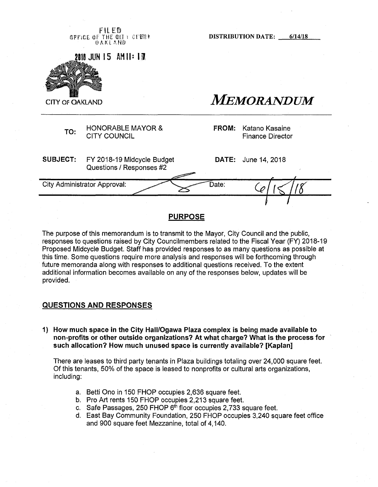**FI l E® GPFICE OF THE @QI t CLEBE** © <sup>A</sup> <sup>K</sup> l AN©

**DISTRIBUTION DATE: 6/14/18**

**1IIIJUN 15 AH Ih If.**



FIRE **CITY OF OAKLAND CITY OF OAKLAND** 

HONORABLE MAYOR & TO: CITY COUNCIL **TO:** CITY COUNCIL

**FROM:** Katano Kasaine<br>Finance Director

**SUBJECT:** FY 2018-19 Midcycle Budget Questions / Responses #2 **DATE:** June 14,2018 City Administrator Approval: Date:

# **PURPOSE**

The purpose of this memorandum is to transmit to the Mayor, City Council and the public, responses to questions raised by City Councilmembers related to the Fiscal Year (FY) 2018-19 Proposed Midcycle Budget. Staff has provided responses to as many questions as possible at this time. Some questions require more analysis and responses will be forthcoming through future memoranda along with responses to additional questions received. To the extent additional information becomes available on any of the responses below, updates will be provided.

#### **QUESTIONS AND RESPONSES**

**1) How much space in the City Hall/Ogawa Plaza complex is being made available to non-profits or other outside organizations? At what charge? What is the process for such allocation? How much unused space is currently available? [Kaplan]**

There are leases to third party tenants in Plaza buildings totaling over 24,000 square feet. Of this tenants, 50% of the space is leased to nonprofits or cultural arts organizations, including:

- a. Betti Ono in 150 FHOP occupies 2,636 square feet.
- b. Pro Art rents 150 FHOP occupies 2,213 square feet.
- c. Safe Passages, 250 FHOP  $6<sup>th</sup>$  floor occupies 2,733 square feet.
- d. East Bay Community Foundation, 250 FHOP occupies 3,240 square feet office and 900 square feet Mezzanine, total of 4,140.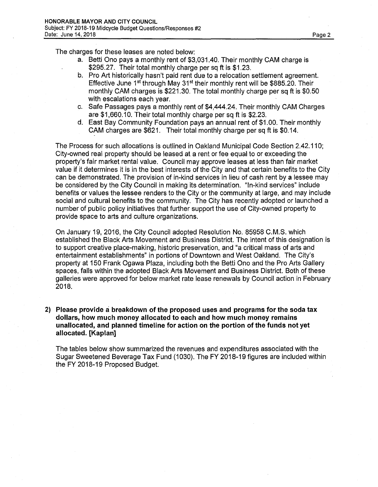The charges for these leases are noted below:

- a. Betti Ono pays a monthly rent of \$3,031.40. Their monthly CAM charge is \$295.27. Their total monthly charge per sq ft is \$1.23.
- b. Pro Art historically hasn't paid rent due to a relocation settlement agreement. Effective June  $1<sup>st</sup>$  through May  $31<sup>st</sup>$  their monthly rent will be \$885.20. Their monthly CAM charges is \$221.30. The total monthly charge per sq ft is \$0.50 with escalations each year.
- c. Safe Passages pays a monthly rent of \$4,444.24. Their monthly CAM Charges are \$1,660.10. Their total monthly charge per sq ft is \$2.23.
- d. East Bay Community Foundation pays an annual rent of \$1.00. Their monthly CAM charges are \$621. Their total monthly charge per sq ft is \$0.14.

The Process for such allocations is outlined in Oakland Municipal Code Section 2.42.110; City-owned real property should be leased at a rent or fee equal to or exceeding the property's fair market rental value. Council may approve leases at less than fair market value if it determines it is in the best interests of the City and that certain benefits to the City can be demonstrated. The provision of in-kind services in lieu of cash rent by a lessee may be considered by the City Council in making its determination. "In-kind services" include benefits or values the lessee renders to the City or the community at large, and may include social and cultural benefits to the community. The City has recently adopted or launched a number of public policy initiatives that further support the use of City-owned property to provide space to arts and culture organizations.

On January 19, 2016, the City Council adopted Resolution No. 85958 C.M.S. which established the Black Arts Movement and Business District. The intent of this designation is to support creative place-making, historic preservation, and "a critical mass of arts and entertainment establishments" in portions of Downtown and West Oakland. The City's property at 150 Frank Ogawa Plaza, including both the Betti Ono and the Pro Arts Gallery spaces, falls within the adopted Black Arts Movement and Business District. Both of these galleries were approved for below market rate lease renewals by Council action in February 2018.

**2) Please provide** si **breakdown of the proposed uses and programs for the soda tax dollars, how much money allocated to each and how much money remains unallocated, and planned timeline for action on the portion of the funds not yet allocated. [Kaplan]**

The tables below show summarized the revenues and expenditures associated with the Sugar Sweetened Beverage Tax Fund (1030). The FY 2018-19 figures are included within the FY 2018-19 Proposed Budget.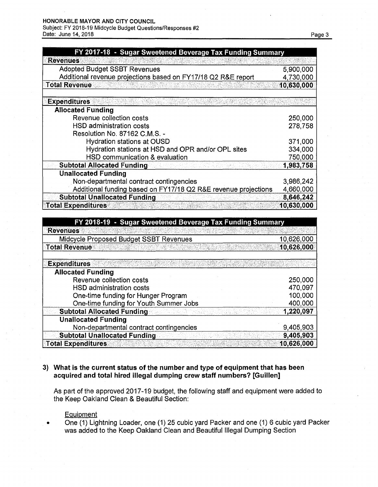#### **HONORABLE MAYOR AND CITY COUNCIL**

Subject: FY 2018-19 Midcycle Budget Questions/Responses #2 Date: June 14, 2018 **Page 3** 

| FY 2017-18 - Sugar Sweetened Beverage Tax Funding Summary      |            |
|----------------------------------------------------------------|------------|
| <b>Revenues</b>                                                |            |
| <b>Adopted Budget SSBT Revenues</b>                            | 5,900,000  |
| Additional revenue projections based on FY17/18 Q2 R&E report  | 4,730,000  |
| <b>Total Revenue</b>                                           | 10,630,000 |
|                                                                |            |
| <b>Expenditures</b>                                            |            |
| <b>Allocated Funding</b>                                       |            |
| Revenue collection costs                                       | 250,000    |
| HSD administration costs                                       | 278,758    |
| Resolution No. 87162 C.M.S. -                                  |            |
| <b>Hydration stations at OUSD</b>                              | 371,000    |
| Hydration stations at HSD and OPR and/or OPL sites             | 334,000    |
| HSD communication & evaluation                                 | 750,000    |
| <b>Subtotal Allocated Funding</b>                              | 1,983,758  |
| <b>Unallocated Funding</b>                                     |            |
| Non-departmental contract contingencies                        | 3,986,242  |
| Additional funding based on FY17/18 Q2 R&E revenue projections | 4,660,000  |
| <b>Subtotal Unallocated Funding</b>                            | 8,646,242  |
| <b>Total Expenditures</b>                                      | 10,630,000 |

| FY 2018-19 - Sugar Sweetened Beverage Tax Funding Summary |            |
|-----------------------------------------------------------|------------|
| <b>Revenues</b>                                           |            |
| Midcycle Proposed Budget SSBT Revenues                    | 10,626,000 |
| <b>Total Revenue</b>                                      | 10,626,000 |
| <b>Expenditures</b>                                       |            |
| <b>Allocated Funding</b>                                  |            |
| Revenue collection costs                                  | 250,000    |
| HSD administration costs                                  | 470,097    |
| One-time funding for Hunger Program                       | 100,000    |
| One-time funding for Youth Summer Jobs                    | 400,000    |
| <b>Subtotal Allocated Funding</b>                         | 1,220,097  |
| <b>Unallocated Funding</b>                                |            |
| Non-departmental contract contingencies                   | 9,405,903  |
| <b>Subtotal Unallocated Funding</b>                       | 9,405,903  |
| <b>Total Expenditures</b>                                 | 10,626,000 |

## **3) What is the current status of the number and type of equipment that has been acquired and total hired illegal dumping crew staff numbers? [Guillen]**

As part of the approved 2017-19 budget, the following staff and equipment were added to the Keep Oakland Clean & Beautiful Section:

**Equipment** 

One (1) Lightning Loader, one (1) 25 cubic yard Packer and one (1) 6 cubic yard Packer  $\bullet$ was added to the Keep Oakland Clean and Beautiful Illegal Dumping Section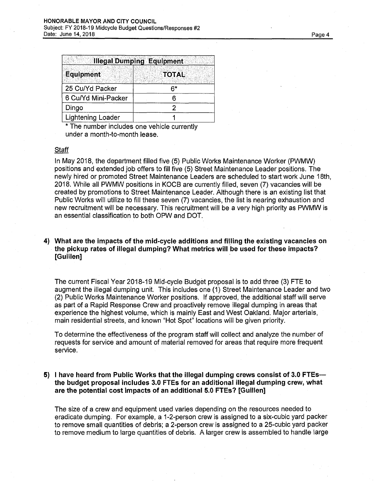|                     | <b>Illegal Dumping Equipment</b> |
|---------------------|----------------------------------|
| <b>Equipment</b>    |                                  |
|                     | <b>TOTAL</b>                     |
| 25 Cu/Yd Packer     | ຂ∗                               |
| 6 Cu/Yd Mini-Packer |                                  |
| Dingo               |                                  |
| Lightening Loader   |                                  |

\* The number includes one vehicle currently under a month-to-month lease.

#### **Staff**

In May 2018, the department filled five (5) Public Works Maintenance Worker (PWMW) positions and extended job offers to fill five (5) Street Maintenance Leader positions. The newly hired or promoted Street Maintenance Leaders are scheduled to start work June 18th, 2018. While all PWMW positions in KOCB are currently filled, seven (7) vacancies will be created by promotions to Street Maintenance Leader. Although there is an existing list that Public Works will utilize to fill these seven (7) vacancies, the list is nearing exhaustion and new recruitment will be necessary. This recruitment will be a very high priority as PWMW is an essential classification to both OPW and DOT.

## **4) What are the impacts of the mid-cycle additions and filling the existing vacancies on the pickup rates of illegal dumping? What metrics will be used for these impacts? [Guillen]**

The current Fiscal Year 2018-19 Mid-cycle Budget proposal is to add three (3) FTE to augment the illegal dumping unit. This includes one (1) Street Maintenance Leader and two (2) Public Works Maintenance Worker positions. If approved, the additional staff will serve as part of a Rapid Response Crew and proactively remove illegal dumping in areas that experience the highest volume, which is mainly East and West Oakland. Major arterials, main residential streets, and known "Hot Spot" locations will be given priority.

To determine the effectiveness of the program staff will collect and analyze the number of requests for service and amount of material removed for areas that require more frequent service.

## **5) <sup>I</sup> have heard from Public Works that the illegal dumping crews consist of 3.0 FTEs the budget proposal includes 3.0 FTEs for an additional illegal dumping crew, what are the potential cost impacts of an additional 5.0 FTEs? [Guillen]**

The size of a crew and equipment used varies depending on the resources needed to eradicate dumping. For example, a 1-2-person crew is assigned to a six-cubic yard packer to remove small quantities of debris; a 2-person crew is assigned to a 25-cubic yard packer to remove medium to large quantities of debris. A larger crew is assembled to handle large